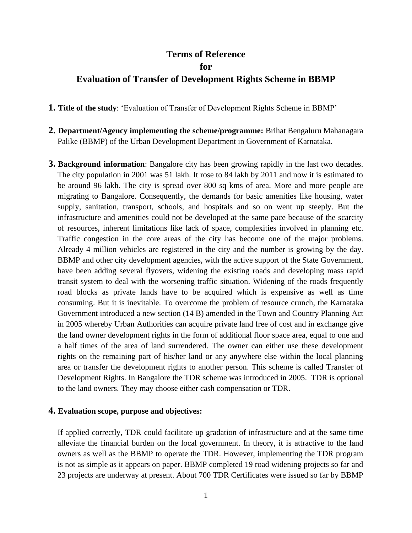## **Terms of Reference for**

## **Evaluation of Transfer of Development Rights Scheme in BBMP**

**1. Title of the study**: 'Evaluation of Transfer of Development Rights Scheme in BBMP'

- **2. Department/Agency implementing the scheme/programme:** Brihat Bengaluru Mahanagara Palike (BBMP) of the Urban Development Department in Government of Karnataka.
- **3. Background information**: Bangalore city has been growing rapidly in the last two decades. The city population in 2001 was 51 lakh. It rose to 84 lakh by 2011 and now it is estimated to be around 96 lakh. The city is spread over 800 sq kms of area. More and more people are migrating to Bangalore. Consequently, the demands for basic amenities like housing, water supply, sanitation, transport, schools, and hospitals and so on went up steeply. But the infrastructure and amenities could not be developed at the same pace because of the scarcity of resources, inherent limitations like lack of space, complexities involved in planning etc. Traffic congestion in the core areas of the city has become one of the major problems. Already 4 million vehicles are registered in the city and the number is growing by the day. BBMP and other city development agencies, with the active support of the State Government, have been adding several flyovers, widening the existing roads and developing mass rapid transit system to deal with the worsening traffic situation. Widening of the roads frequently road blocks as private lands have to be acquired which is expensive as well as time consuming. But it is inevitable. To overcome the problem of resource crunch, the Karnataka Government introduced a new section (14 B) amended in the Town and Country Planning Act in 2005 whereby Urban Authorities can acquire private land free of cost and in exchange give the land owner development rights in the form of additional floor space area, equal to one and a half times of the area of land surrendered. The owner can either use these development rights on the remaining part of his/her land or any anywhere else within the local planning area or transfer the development rights to another person. This scheme is called Transfer of Development Rights. In Bangalore the TDR scheme was introduced in 2005. TDR is optional to the land owners. They may choose either cash compensation or TDR.

## **4. Evaluation scope, purpose and objectives:**

If applied correctly, TDR could facilitate up gradation of infrastructure and at the same time alleviate the financial burden on the local government. In theory, it is attractive to the land owners as well as the BBMP to operate the TDR. However, implementing the TDR program is not as simple as it appears on paper. BBMP completed 19 road widening projects so far and 23 projects are underway at present. About 700 TDR Certificates were issued so far by BBMP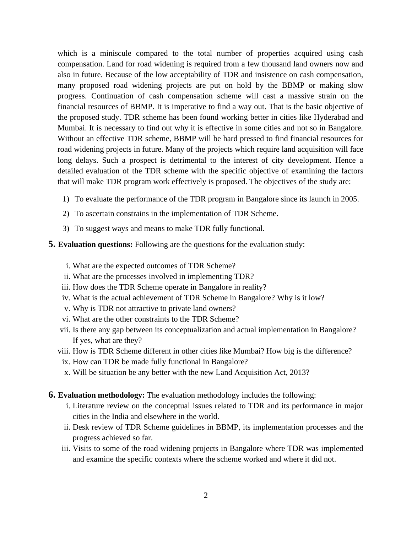which is a miniscule compared to the total number of properties acquired using cash compensation. Land for road widening is required from a few thousand land owners now and also in future. Because of the low acceptability of TDR and insistence on cash compensation, many proposed road widening projects are put on hold by the BBMP or making slow progress. Continuation of cash compensation scheme will cast a massive strain on the financial resources of BBMP. It is imperative to find a way out. That is the basic objective of the proposed study. TDR scheme has been found working better in cities like Hyderabad and Mumbai. It is necessary to find out why it is effective in some cities and not so in Bangalore. Without an effective TDR scheme, BBMP will be hard pressed to find financial resources for road widening projects in future. Many of the projects which require land acquisition will face long delays. Such a prospect is detrimental to the interest of city development. Hence a detailed evaluation of the TDR scheme with the specific objective of examining the factors that will make TDR program work effectively is proposed. The objectives of the study are:

- 1) To evaluate the performance of the TDR program in Bangalore since its launch in 2005.
- 2) To ascertain constrains in the implementation of TDR Scheme.
- 3) To suggest ways and means to make TDR fully functional.
- **5. Evaluation questions:** Following are the questions for the evaluation study:
	- i. What are the expected outcomes of TDR Scheme?
	- ii. What are the processes involved in implementing TDR?
	- iii. How does the TDR Scheme operate in Bangalore in reality?
	- iv. What is the actual achievement of TDR Scheme in Bangalore? Why is it low?
	- v. Why is TDR not attractive to private land owners?
	- vi. What are the other constraints to the TDR Scheme?
	- vii. Is there any gap between its conceptualization and actual implementation in Bangalore? If yes, what are they?
	- viii. How is TDR Scheme different in other cities like Mumbai? How big is the difference?
	- ix. How can TDR be made fully functional in Bangalore?
	- x. Will be situation be any better with the new Land Acquisition Act, 2013?
- **6. Evaluation methodology:** The evaluation methodology includes the following:
	- i. Literature review on the conceptual issues related to TDR and its performance in major cities in the India and elsewhere in the world.
	- ii. Desk review of TDR Scheme guidelines in BBMP, its implementation processes and the progress achieved so far.
	- iii. Visits to some of the road widening projects in Bangalore where TDR was implemented and examine the specific contexts where the scheme worked and where it did not.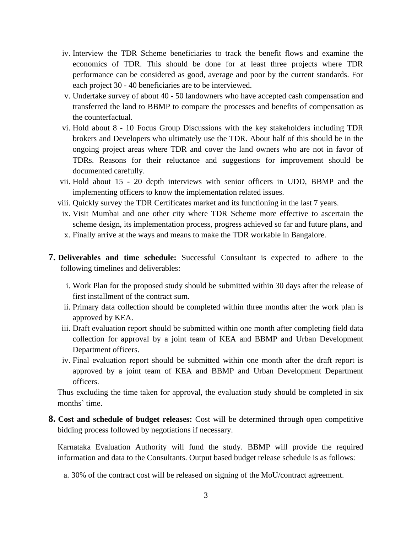- iv. Interview the TDR Scheme beneficiaries to track the benefit flows and examine the economics of TDR. This should be done for at least three projects where TDR performance can be considered as good, average and poor by the current standards. For each project 30 - 40 beneficiaries are to be interviewed.
- v. Undertake survey of about 40 50 landowners who have accepted cash compensation and transferred the land to BBMP to compare the processes and benefits of compensation as the counterfactual.
- vi. Hold about 8 10 Focus Group Discussions with the key stakeholders including TDR brokers and Developers who ultimately use the TDR. About half of this should be in the ongoing project areas where TDR and cover the land owners who are not in favor of TDRs. Reasons for their reluctance and suggestions for improvement should be documented carefully.
- vii. Hold about 15 20 depth interviews with senior officers in UDD, BBMP and the implementing officers to know the implementation related issues.
- viii. Quickly survey the TDR Certificates market and its functioning in the last 7 years.
- ix. Visit Mumbai and one other city where TDR Scheme more effective to ascertain the scheme design, its implementation process, progress achieved so far and future plans, and
- x. Finally arrive at the ways and means to make the TDR workable in Bangalore.
- **7. Deliverables and time schedule:** Successful Consultant is expected to adhere to the following timelines and deliverables:
	- i. Work Plan for the proposed study should be submitted within 30 days after the release of first installment of the contract sum.
	- ii. Primary data collection should be completed within three months after the work plan is approved by KEA.
	- iii. Draft evaluation report should be submitted within one month after completing field data collection for approval by a joint team of KEA and BBMP and Urban Development Department officers.
	- iv. Final evaluation report should be submitted within one month after the draft report is approved by a joint team of KEA and BBMP and Urban Development Department officers.

Thus excluding the time taken for approval, the evaluation study should be completed in six months' time.

**8. Cost and schedule of budget releases:** Cost will be determined through open competitive bidding process followed by negotiations if necessary.

Karnataka Evaluation Authority will fund the study. BBMP will provide the required information and data to the Consultants. Output based budget release schedule is as follows:

a. 30% of the contract cost will be released on signing of the MoU/contract agreement.